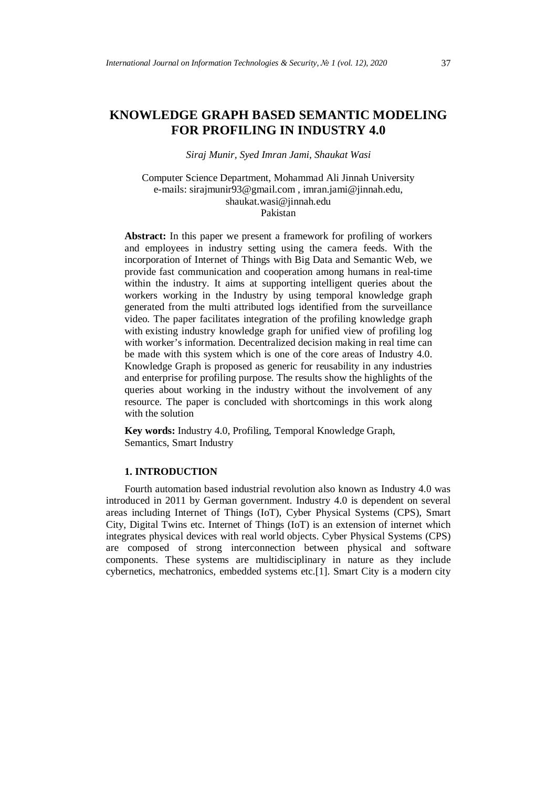# **KNOWLEDGE GRAPH BASED SEMANTIC MODELING FOR PROFILING IN INDUSTRY 4.0**

*Siraj Munir, Syed Imran Jami, Shaukat Wasi*

Computer Science Department, Mohammad Ali Jinnah University e-mails: [sirajmunir93@gmail.com](mailto:sirajmunir93@gmail.com) , [imran.jami@jinnah.edu,](mailto:imran.jami@jinnah.edu) [shaukat.wasi@jinnah.edu](mailto:shaukat.wasi@jinnah.edu) Pakistan

**Abstract:** In this paper we present a framework for profiling of workers and employees in industry setting using the camera feeds. With the incorporation of Internet of Things with Big Data and Semantic Web, we provide fast communication and cooperation among humans in real-time within the industry. It aims at supporting intelligent queries about the workers working in the Industry by using temporal knowledge graph generated from the multi attributed logs identified from the surveillance video. The paper facilitates integration of the profiling knowledge graph with existing industry knowledge graph for unified view of profiling log with worker's information. Decentralized decision making in real time can be made with this system which is one of the core areas of Industry 4.0. Knowledge Graph is proposed as generic for reusability in any industries and enterprise for profiling purpose. The results show the highlights of the queries about working in the industry without the involvement of any resource. The paper is concluded with shortcomings in this work along with the solution

**Key words:** Industry 4.0, Profiling, Temporal Knowledge Graph, Semantics, Smart Industry

#### **1. INTRODUCTION**

Fourth automation based industrial revolution also known as Industry 4.0 was introduced in 2011 by German government. Industry 4.0 is dependent on several areas including Internet of Things (IoT), Cyber Physical Systems (CPS), Smart City, Digital Twins etc. Internet of Things (IoT) is an extension of internet which integrates physical devices with real world objects. Cyber Physical Systems (CPS) are composed of strong interconnection between physical and software components. These systems are multidisciplinary in nature as they include cybernetics, mechatronics, embedded systems etc.[1]. Smart City is a modern city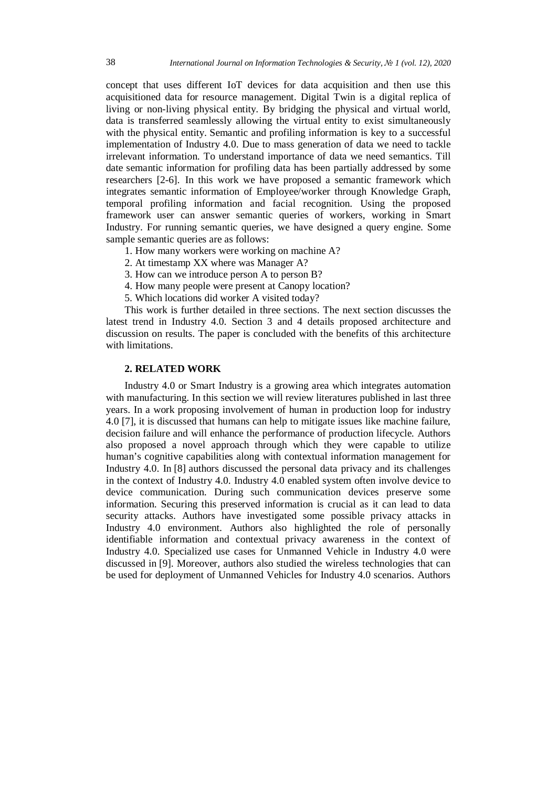concept that uses different IoT devices for data acquisition and then use this acquisitioned data for resource management. Digital Twin is a digital replica of living or non-living physical entity. By bridging the physical and virtual world, data is transferred seamlessly allowing the virtual entity to exist simultaneously with the physical entity. Semantic and profiling information is key to a successful implementation of Industry 4.0. Due to mass generation of data we need to tackle irrelevant information. To understand importance of data we need semantics. Till date semantic information for profiling data has been partially addressed by some researchers [2-6]. In this work we have proposed a semantic framework which integrates semantic information of Employee/worker through Knowledge Graph, temporal profiling information and facial recognition. Using the proposed framework user can answer semantic queries of workers, working in Smart Industry. For running semantic queries, we have designed a query engine. Some sample semantic queries are as follows:

- 1. How many workers were working on machine A?
- 2. At timestamp XX where was Manager A?
- 3. How can we introduce person A to person B?
- 4. How many people were present at Canopy location?
- 5. Which locations did worker A visited today?

This work is further detailed in three sections. The next section discusses the latest trend in Industry 4.0. Section 3 and 4 details proposed architecture and discussion on results. The paper is concluded with the benefits of this architecture with limitations.

# **2. RELATED WORK**

Industry 4.0 or Smart Industry is a growing area which integrates automation with manufacturing. In this section we will review literatures published in last three years. In a work proposing involvement of human in production loop for industry 4.0 [7], it is discussed that humans can help to mitigate issues like machine failure, decision failure and will enhance the performance of production lifecycle. Authors also proposed a novel approach through which they were capable to utilize human's cognitive capabilities along with contextual information management for Industry 4.0. In [8] authors discussed the personal data privacy and its challenges in the context of Industry 4.0. Industry 4.0 enabled system often involve device to device communication. During such communication devices preserve some information. Securing this preserved information is crucial as it can lead to data security attacks. Authors have investigated some possible privacy attacks in Industry 4.0 environment. Authors also highlighted the role of personally identifiable information and contextual privacy awareness in the context of Industry 4.0. Specialized use cases for Unmanned Vehicle in Industry 4.0 were discussed in [9]. Moreover, authors also studied the wireless technologies that can be used for deployment of Unmanned Vehicles for Industry 4.0 scenarios. Authors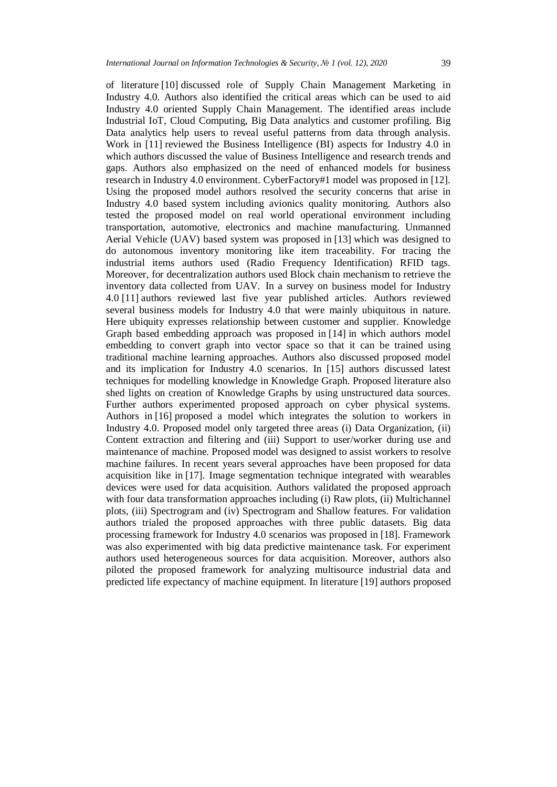of literature [10] discussed role of Supply Chain Management Marketing in Industry 4.0. Authors also identified the critical areas which can be used to aid Industry 4.0 oriented Supply Chain Management. The identified areas include Industrial IoT, Cloud Computing, Big Data analytics and customer profiling. Big Data analytics help users to reveal useful patterns from data through analysis. Work in [11] reviewed the Business Intelligence (BI) aspects for Industry 4.0 in which authors discussed the value of Business Intelligence and research trends and gaps. Authors also emphasized on the need of enhanced models for business research in Industry 4.0 environment. CyberFactory#1 model was proposed in [12]. Using the proposed model authors resolved the security concerns that arise in Industry 4.0 based system including avionics quality monitoring. Authors also tested the proposed model on real world operational environment including transportation, automotive, electronics and machine manufacturing. Unmanned Aerial Vehicle (UAV) based system was proposed in [13] which was designed to do autonomous inventory monitoring like item traceability. For tracing the industrial items authors used (Radio Frequency Identification) RFID tags. Moreover, for decentralization authors used Block chain mechanism to retrieve the inventory data collected from UAV. In a survey on business model for Industry 4.0 [11] authors reviewed last five year published articles. Authors reviewed several business models for Industry 4.0 that were mainly ubiquitous in nature. Here ubiquity expresses relationship between customer and supplier. Knowledge Graph based embedding approach was proposed in [14] in which authors model embedding to convert graph into vector space so that it can be trained using traditional machine learning approaches. Authors also discussed proposed model and its implication for Industry 4.0 scenarios. In [15] authors discussed latest techniques for modelling knowledge in Knowledge Graph. Proposed literature also shed lights on creation of Knowledge Graphs by using unstructured data sources. Further authors experimented proposed approach on cyber physical systems. Authors in [16] proposed a model which integrates the solution to workers in Industry 4.0. Proposed model only targeted three areas (i) Data Organization, (ii) Content extraction and filtering and (iii) Support to user/worker during use and maintenance of machine. Proposed model was designed to assist workers to resolve machine failures. In recent years several approaches have been proposed for data acquisition like in [17]. Image segmentation technique integrated with wearables devices were used for data acquisition. Authors validated the proposed approach with four data transformation approaches including (i) Raw plots, (ii) Multichannel plots, (iii) Spectrogram and (iv) Spectrogram and Shallow features. For validation authors trialed the proposed approaches with three public datasets. Big data processing framework for Industry 4.0 scenarios was proposed in [18]. Framework was also experimented with big data predictive maintenance task. For experiment authors used heterogeneous sources for data acquisition. Moreover, authors also piloted the proposed framework for analyzing multisource industrial data and predicted life expectancy of machine equipment. In literature [19] authors proposed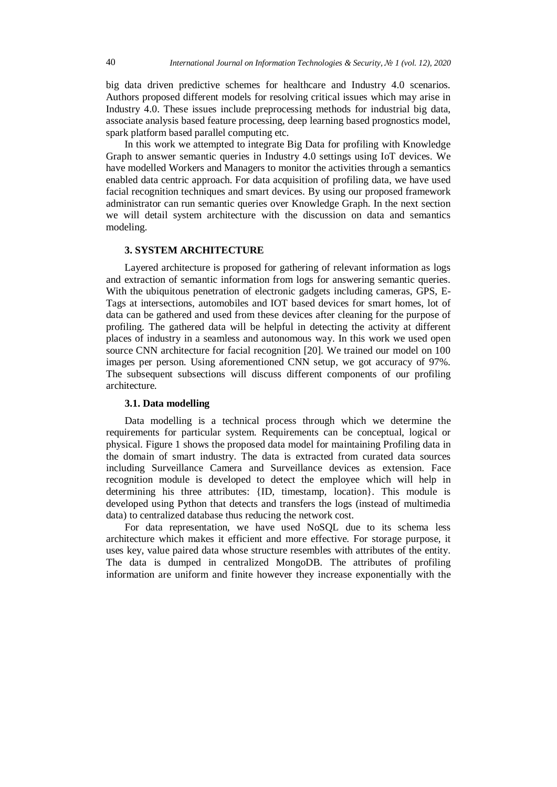big data driven predictive schemes for healthcare and Industry 4.0 scenarios. Authors proposed different models for resolving critical issues which may arise in Industry 4.0. These issues include preprocessing methods for industrial big data, associate analysis based feature processing, deep learning based prognostics model, spark platform based parallel computing etc.

In this work we attempted to integrate Big Data for profiling with Knowledge Graph to answer semantic queries in Industry 4.0 settings using IoT devices. We have modelled Workers and Managers to monitor the activities through a semantics enabled data centric approach. For data acquisition of profiling data, we have used facial recognition techniques and smart devices. By using our proposed framework administrator can run semantic queries over Knowledge Graph. In the next section we will detail system architecture with the discussion on data and semantics modeling.

# **3. SYSTEM ARCHITECTURE**

Layered architecture is proposed for gathering of relevant information as logs and extraction of semantic information from logs for answering semantic queries. With the ubiquitous penetration of electronic gadgets including cameras, GPS, E-Tags at intersections, automobiles and IOT based devices for smart homes, lot of data can be gathered and used from these devices after cleaning for the purpose of profiling. The gathered data will be helpful in detecting the activity at different places of industry in a seamless and autonomous way. In this work we used open source CNN architecture for facial recognition [20]. We trained our model on 100 images per person. Using aforementioned CNN setup, we got accuracy of 97%. The subsequent subsections will discuss different components of our profiling architecture.

#### **3.1. Data modelling**

Data modelling is a technical process through which we determine the requirements for particular system. Requirements can be conceptual, logical or physical. Figure 1 shows the proposed data model for maintaining Profiling data in the domain of smart industry. The data is extracted from curated data sources including Surveillance Camera and Surveillance devices as extension. Face recognition module is developed to detect the employee which will help in determining his three attributes: {ID, timestamp, location}. This module is developed using Python that detects and transfers the logs (instead of multimedia data) to centralized database thus reducing the network cost.

For data representation, we have used NoSQL due to its schema less architecture which makes it efficient and more effective. For storage purpose, it uses key, value paired data whose structure resembles with attributes of the entity. The data is dumped in centralized MongoDB. The attributes of profiling information are uniform and finite however they increase exponentially with the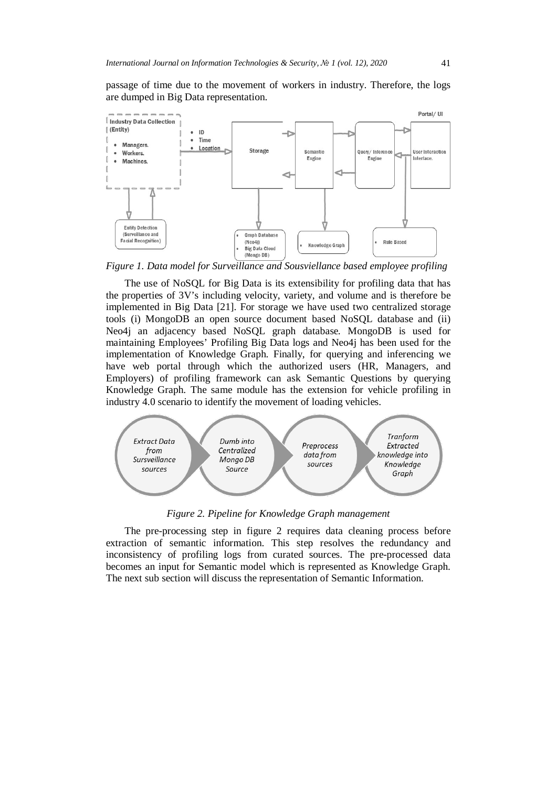passage of time due to the movement of workers in industry. Therefore, the logs are dumped in Big Data representation.



*Figure 1. Data model for Surveillance and Sousviellance based employee profiling*

The use of NoSQL for Big Data is its extensibility for profiling data that has the properties of 3V's including velocity, variety, and volume and is therefore be implemented in Big Data [21]. For storage we have used two centralized storage tools (i) MongoDB an open source document based NoSQL database and (ii) Neo4j an adjacency based NoSQL graph database. MongoDB is used for maintaining Employees' Profiling Big Data logs and Neo4j has been used for the implementation of Knowledge Graph. Finally, for querying and inferencing we have web portal through which the authorized users (HR, Managers, and Employers) of profiling framework can ask Semantic Questions by querying Knowledge Graph. The same module has the extension for vehicle profiling in industry 4.0 scenario to identify the movement of loading vehicles.



*Figure 2. Pipeline for Knowledge Graph management*

The pre-processing step in figure 2 requires data cleaning process before extraction of semantic information. This step resolves the redundancy and inconsistency of profiling logs from curated sources. The pre-processed data becomes an input for Semantic model which is represented as Knowledge Graph. The next sub section will discuss the representation of Semantic Information.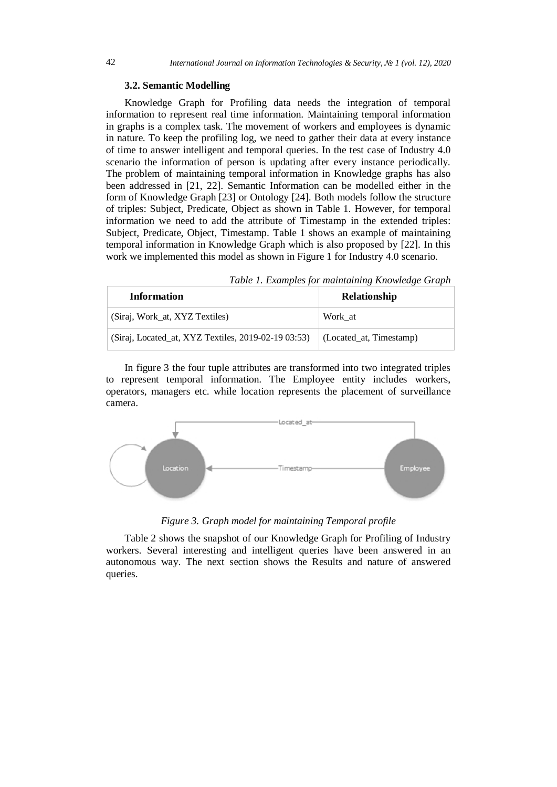#### **3.2. Semantic Modelling**

Knowledge Graph for Profiling data needs the integration of temporal information to represent real time information. Maintaining temporal information in graphs is a complex task. The movement of workers and employees is dynamic in nature. To keep the profiling log, we need to gather their data at every instance of time to answer intelligent and temporal queries. In the test case of Industry 4.0 scenario the information of person is updating after every instance periodically. The problem of maintaining temporal information in Knowledge graphs has also been addressed in [21, 22]. Semantic Information can be modelled either in the form of Knowledge Graph [23] or Ontology [24]. Both models follow the structure of triples: Subject, Predicate, Object as shown in Table 1. However, for temporal information we need to add the attribute of Timestamp in the extended triples: Subject, Predicate, Object, Timestamp. Table 1 shows an example of maintaining temporal information in Knowledge Graph which is also proposed by [22]. In this work we implemented this model as shown in Figure 1 for Industry 4.0 scenario.

*Table 1. Examples for maintaining Knowledge Graph*

| <b>Information</b>                                  | Relationship                    |
|-----------------------------------------------------|---------------------------------|
| (Siraj, Work_at, XYZ Textiles)                      | Work at                         |
| (Siraj, Located_at, XYZ Textiles, 2019-02-19 03:53) | $\vert$ (Located_at, Timestamp) |

In figure 3 the four tuple attributes are transformed into two integrated triples to represent temporal information. The Employee entity includes workers, operators, managers etc. while location represents the placement of surveillance camera.



*Figure 3. Graph model for maintaining Temporal profile*

Table 2 shows the snapshot of our Knowledge Graph for Profiling of Industry workers. Several interesting and intelligent queries have been answered in an autonomous way. The next section shows the Results and nature of answered queries.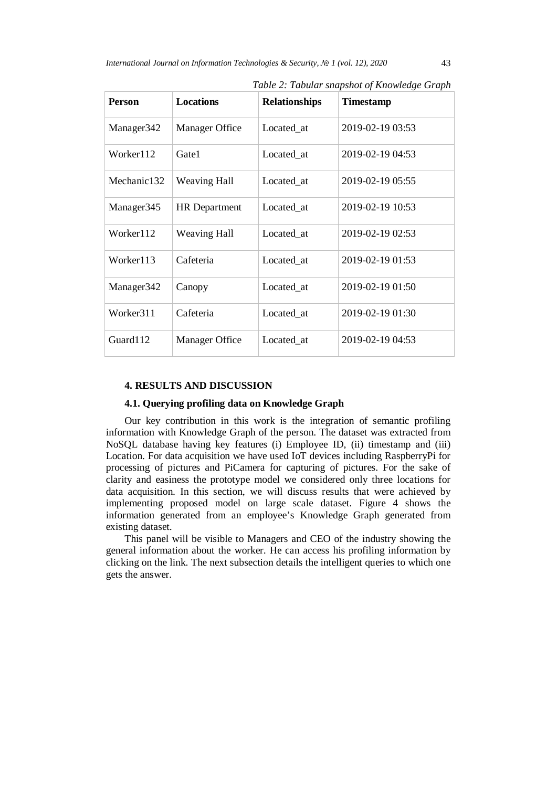| <b>Person</b>          | <b>Locations</b>     | <b>Relationships</b> | <b>Timestamp</b> |
|------------------------|----------------------|----------------------|------------------|
| Manager <sub>342</sub> | Manager Office       | Located at           | 2019-02-19 03:53 |
| Worker112              | Gate1                | Located at           | 2019-02-19 04:53 |
| Mechanic132            | <b>Weaving Hall</b>  | Located_at           | 2019-02-19 05:55 |
| Manager <sub>345</sub> | <b>HR</b> Department | Located_at           | 2019-02-19 10:53 |
| Worker112              | <b>Weaving Hall</b>  | Located at           | 2019-02-19 02:53 |
| Worker113              | Cafeteria            | Located at           | 2019-02-19 01:53 |
| Manager <sub>342</sub> | Canopy               | Located_at           | 2019-02-19 01:50 |
| Worker311              | Cafeteria            | Located at           | 2019-02-19 01:30 |
| Guard112               | Manager Office       | Located at           | 2019-02-19 04:53 |

*Table 2: Tabular snapshot of Knowledge Graph*

#### **4. RESULTS AND DISCUSSION**

# **4.1. Querying profiling data on Knowledge Graph**

Our key contribution in this work is the integration of semantic profiling information with Knowledge Graph of the person. The dataset was extracted from NoSQL database having key features (i) Employee ID, (ii) timestamp and (iii) Location. For data acquisition we have used IoT devices including RaspberryPi for processing of pictures and PiCamera for capturing of pictures. For the sake of clarity and easiness the prototype model we considered only three locations for data acquisition. In this section, we will discuss results that were achieved by implementing proposed model on large scale dataset. Figure 4 shows the information generated from an employee's Knowledge Graph generated from existing dataset.

This panel will be visible to Managers and CEO of the industry showing the general information about the worker. He can access his profiling information by clicking on the link. The next subsection details the intelligent queries to which one gets the answer.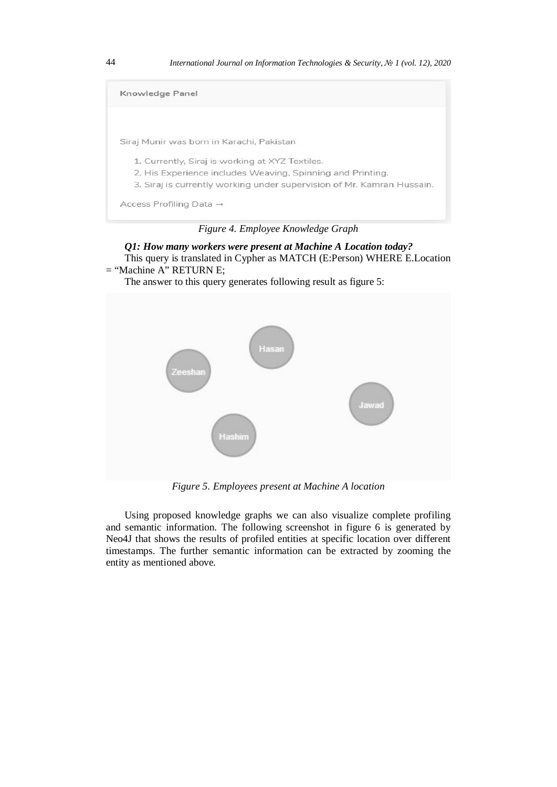

*Figure 4. Employee Knowledge Graph*

```
Q1: How many workers were present at Machine A Location today?
   This query is translated in Cypher as MATCH (E:Person) WHERE E.Location 
= "Machine A" RETURN E;
```
The answer to this query generates following result as figure 5:



*Figure 5. Employees present at Machine A location*

Using proposed knowledge graphs we can also visualize complete profiling and semantic information. The following screenshot in figure 6 is generated by Neo4J that shows the results of profiled entities at specific location over different timestamps. The further semantic information can be extracted by zooming the entity as mentioned above.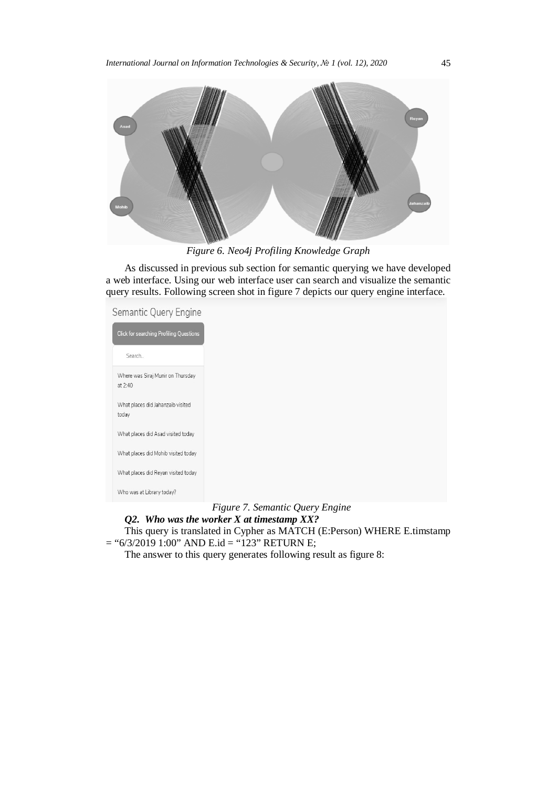

*Figure 6. Neo4j Profiling Knowledge Graph* 

As discussed in previous sub section for semantic querying we have developed a web interface. Using our web interface user can search and visualize the semantic query results. Following screen shot in figure 7 depicts our query engine interface.

Semantic Query Engine

| <b>Click for searching Profiling Questions</b> |
|------------------------------------------------|
| Search                                         |
| Where was Siraj Munir on Thursday<br>at $2:40$ |
| What places did Jahanzaib visited<br>today     |
| What places did Asad visited today             |
| What places did Mohib visited today            |
| What places did Reyan visited today            |
| Who was at Library today?                      |

*Figure 7. Semantic Query Engine*

*Q2. Who was the worker X at timestamp XX?*

This query is translated in Cypher as MATCH (E:Person) WHERE E.timstamp  $=$  "6/3/2019 1:00" AND E.id = "123" RETURN E;

The answer to this query generates following result as figure 8: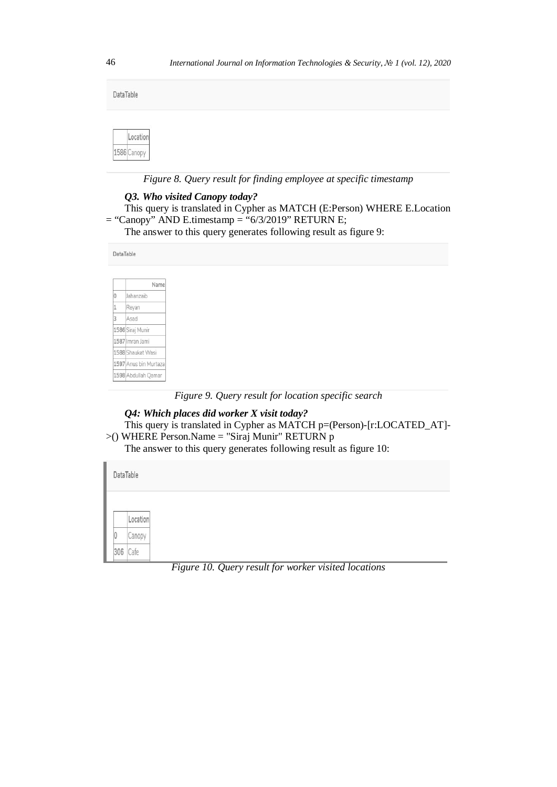| DataTable |                         |  |  |  |  |  |  |  |  |
|-----------|-------------------------|--|--|--|--|--|--|--|--|
|           | Location<br>1586 Canopy |  |  |  |  |  |  |  |  |

*Figure 8. Query result for finding employee at specific timestamp*

# *Q3. Who visited Canopy today?*

```
This query is translated in Cypher as MATCH (E:Person) WHERE E.Location 
= "Canopy" AND E.timestamp = "6/3/2019" RETURN E;
```
The answer to this query generates following result as figure 9:

DataTable

|   | Name                  |
|---|-----------------------|
| Ď | Jahanzaib             |
| 1 | Revan                 |
| 3 | Asad                  |
|   | 1586 Siraj Munir      |
|   | 1587 Imran Jami       |
|   | 1588 Shaukat Wasi     |
|   | 1597 Anus bin Murtaza |
|   | 1598 Abdullah Qamar   |

*Figure 9. Query result for location specific search*

*Q4: Which places did worker X visit today?* This query is translated in Cypher as MATCH p=(Person)-[r:LOCATED\_AT]-  $>$ () WHERE Person.Name = "Siraj Munir" RETURN p

The answer to this query generates following result as figure 10:

|     | DataTable |
|-----|-----------|
|     |           |
|     | Location  |
| IJ  | Canopy    |
| 306 | Cafe      |

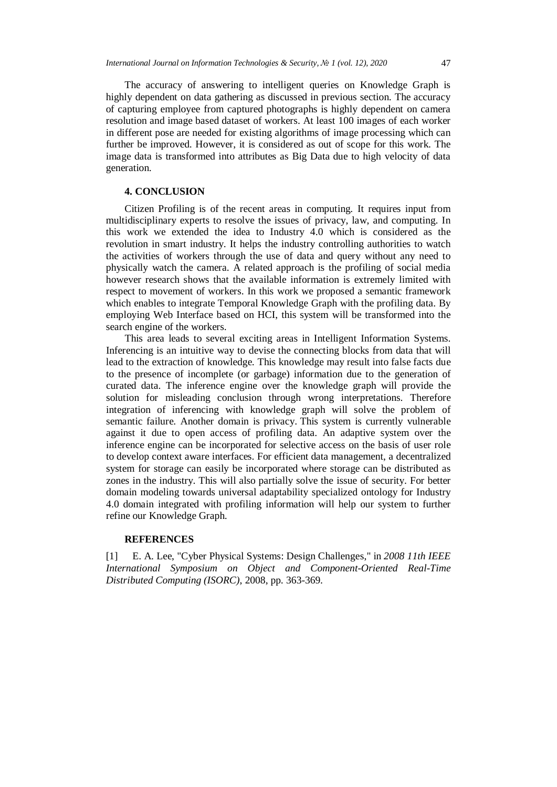The accuracy of answering to intelligent queries on Knowledge Graph is highly dependent on data gathering as discussed in previous section. The accuracy of capturing employee from captured photographs is highly dependent on camera resolution and image based dataset of workers. At least 100 images of each worker in different pose are needed for existing algorithms of image processing which can further be improved. However, it is considered as out of scope for this work. The image data is transformed into attributes as Big Data due to high velocity of data generation.

## **4. CONCLUSION**

Citizen Profiling is of the recent areas in computing. It requires input from multidisciplinary experts to resolve the issues of privacy, law, and computing. In this work we extended the idea to Industry 4.0 which is considered as the revolution in smart industry. It helps the industry controlling authorities to watch the activities of workers through the use of data and query without any need to physically watch the camera. A related approach is the profiling of social media however research shows that the available information is extremely limited with respect to movement of workers. In this work we proposed a semantic framework which enables to integrate Temporal Knowledge Graph with the profiling data. By employing Web Interface based on HCI, this system will be transformed into the search engine of the workers.

This area leads to several exciting areas in Intelligent Information Systems. Inferencing is an intuitive way to devise the connecting blocks from data that will lead to the extraction of knowledge. This knowledge may result into false facts due to the presence of incomplete (or garbage) information due to the generation of curated data. The inference engine over the knowledge graph will provide the solution for misleading conclusion through wrong interpretations. Therefore integration of inferencing with knowledge graph will solve the problem of semantic failure. Another domain is privacy. This system is currently vulnerable against it due to open access of profiling data. An adaptive system over the inference engine can be incorporated for selective access on the basis of user role to develop context aware interfaces. For efficient data management, a decentralized system for storage can easily be incorporated where storage can be distributed as zones in the industry. This will also partially solve the issue of security. For better domain modeling towards universal adaptability specialized ontology for Industry 4.0 domain integrated with profiling information will help our system to further refine our Knowledge Graph.

## **REFERENCES**

[1] E. A. Lee, "Cyber Physical Systems: Design [Challenges,"](http://www.pyimagesearch.com/2018/06/18/face-recognition-with-opencv-python-and-deep-learning/) in *2008 11th IEEE International Symposium on Object and [Component-Oriented](http://www.pyimagesearch.com/2018/06/18/face-recognition-with-opencv-python-and-deep-learning/) Real-Time [Distributed](http://www.pyimagesearch.com/2018/06/18/face-recognition-with-opencv-python-and-deep-learning/) Computing (ISORC)*, 2008, pp. 363-369.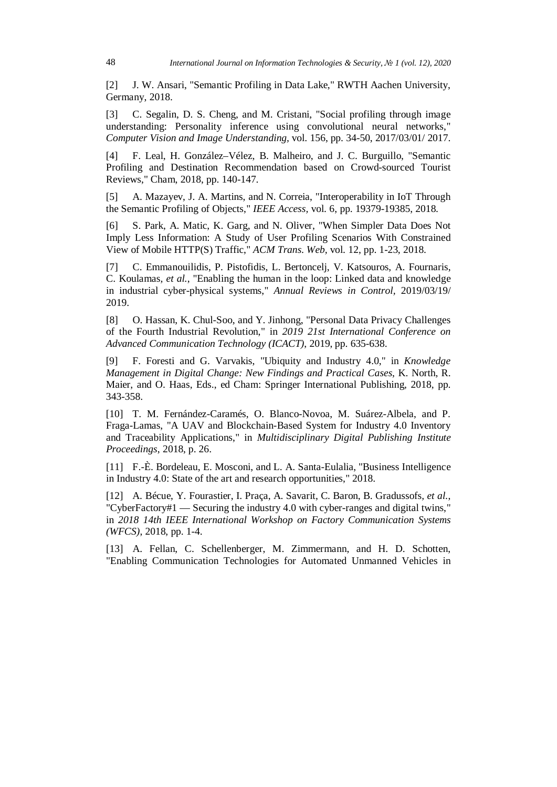[2] J. W. Ansari, "Semantic Profiling in Data Lake," RWTH Aachen [University,](http://www.pyimagesearch.com/2018/06/18/face-recognition-with-opencv-python-and-deep-learning/) [Germany,](http://www.pyimagesearch.com/2018/06/18/face-recognition-with-opencv-python-and-deep-learning/) 2018.

[3] C. Segalin, D. S. Cheng, and M. Cristani, "Social [profiling](http://www.pyimagesearch.com/2018/06/18/face-recognition-with-opencv-python-and-deep-learning/) through image [understanding:](http://www.pyimagesearch.com/2018/06/18/face-recognition-with-opencv-python-and-deep-learning/) Personality inference using convolutional neural networks," *Computer Vision and Image [Understanding,](http://www.pyimagesearch.com/2018/06/18/face-recognition-with-opencv-python-and-deep-learning/)* vol. 156, pp. 34-50, 2017/03/01/ 2017.

[4] F. Leal, H. [González–Vélez,](http://www.pyimagesearch.com/2018/06/18/face-recognition-with-opencv-python-and-deep-learning/) B. Malheiro, and J. C. Burguillo, "Semantic Profiling and Destination [Recommendation](http://www.pyimagesearch.com/2018/06/18/face-recognition-with-opencv-python-and-deep-learning/) based on Crowd-sourced Tourist [Reviews,"](http://www.pyimagesearch.com/2018/06/18/face-recognition-with-opencv-python-and-deep-learning/) Cham, 2018, pp. 140-147.

[5] A. Mazayev, J. A. Martins, and N. Correia, ["Interoperability](http://www.pyimagesearch.com/2018/06/18/face-recognition-with-opencv-python-and-deep-learning/) in IoT Through the Semantic Profiling of Objects," *IEEE Access,* vol. 6, pp. [19379-19385,](http://www.pyimagesearch.com/2018/06/18/face-recognition-with-opencv-python-and-deep-learning/) 2018.

[6] S. Park, A. Matic, K. Garg, and N. Oliver, "When [Simpler](http://www.pyimagesearch.com/2018/06/18/face-recognition-with-opencv-python-and-deep-learning/) Data Does Not Imply Less [Information:](http://www.pyimagesearch.com/2018/06/18/face-recognition-with-opencv-python-and-deep-learning/) A Study of User Profiling Scenarios With Constrained View of Mobile [HTTP\(S\)](http://www.pyimagesearch.com/2018/06/18/face-recognition-with-opencv-python-and-deep-learning/) Traffic," *ACM Trans. Web,* vol. 12, pp. 1-23, 2018.

[7] C. [Emmanouilidis,](http://www.pyimagesearch.com/2018/06/18/face-recognition-with-opencv-python-and-deep-learning/) P. Pistofidis, L. Bertoncelj, V. Katsouros, A. Fournaris, C. Koulamas*, et al.*, "Enabling the human in the loop: Linked data and [knowledge](http://www.pyimagesearch.com/2018/06/18/face-recognition-with-opencv-python-and-deep-learning/) in industrial [cyber-physical](http://www.pyimagesearch.com/2018/06/18/face-recognition-with-opencv-python-and-deep-learning/) systems," *Annual Reviews in Control,* 2019/03/19/ [2019.](http://www.pyimagesearch.com/2018/06/18/face-recognition-with-opencv-python-and-deep-learning/)

[8] O. Hassan, K. Chul-Soo, and Y. Jinhong, "Personal Data Privacy [Challenges](http://www.pyimagesearch.com/2018/06/18/face-recognition-with-opencv-python-and-deep-learning/) of the Fourth Industrial Revolution," in *2019 21st [International](http://www.pyimagesearch.com/2018/06/18/face-recognition-with-opencv-python-and-deep-learning/) Conference on Advanced [Communication](http://www.pyimagesearch.com/2018/06/18/face-recognition-with-opencv-python-and-deep-learning/) Technology (ICACT)*, 2019, pp. 635-638.

[9] F. Foresti and G. Varvakis, "Ubiquity and Industry 4.0," in *[Knowledge](http://www.pyimagesearch.com/2018/06/18/face-recognition-with-opencv-python-and-deep-learning/) [Management](http://www.pyimagesearch.com/2018/06/18/face-recognition-with-opencv-python-and-deep-learning/) in Digital Change: New Findings and Practical Cases*, K. North, R. Maier, and O. Haas, Eds., ed Cham: Springer [International](http://www.pyimagesearch.com/2018/06/18/face-recognition-with-opencv-python-and-deep-learning/) Publishing, 2018, pp. [343-358.](http://www.pyimagesearch.com/2018/06/18/face-recognition-with-opencv-python-and-deep-learning/)

[10] T. M. [Fernández-Caramés,](http://www.pyimagesearch.com/2018/06/18/face-recognition-with-opencv-python-and-deep-learning/) O. Blanco-Novoa, M. Suárez-Albela, and P. Fraga-Lamas, "A UAV and [Blockchain-Based](http://www.pyimagesearch.com/2018/06/18/face-recognition-with-opencv-python-and-deep-learning/) System for Industry 4.0 Inventory and Traceability Applications," in *[Multidisciplinary](http://www.pyimagesearch.com/2018/06/18/face-recognition-with-opencv-python-and-deep-learning/) Digital Publishing Institute [Proceedings](http://www.pyimagesearch.com/2018/06/18/face-recognition-with-opencv-python-and-deep-learning/)*, 2018, p. 26.

[11] F.-È. Bordeleau, E. Mosconi, and L. A. [Santa-Eulalia,](http://www.pyimagesearch.com/2018/06/18/face-recognition-with-opencv-python-and-deep-learning/) "Business Intelligence in Industry 4.0: State of the art and research [opportunities,"](http://www.pyimagesearch.com/2018/06/18/face-recognition-with-opencv-python-and-deep-learning/) 2018.

[12] A. Bécue, Y. Fourastier, I. Praça, A. Savarit, C. Baron, B. [Gradussofs](http://www.pyimagesearch.com/2018/06/18/face-recognition-with-opencv-python-and-deep-learning/)*, et al.*, ["CyberFactory#1](http://www.pyimagesearch.com/2018/06/18/face-recognition-with-opencv-python-and-deep-learning/) — Securing the industry 4.0 with cyber-ranges and digital twins," in *2018 14th IEEE International Workshop on Factory [Communication](http://www.pyimagesearch.com/2018/06/18/face-recognition-with-opencv-python-and-deep-learning/) Systems [\(WFCS\)](http://www.pyimagesearch.com/2018/06/18/face-recognition-with-opencv-python-and-deep-learning/)*, 2018, pp. 1-4.

[13] A. Fellan, C. [Schellenberger,](http://www.pyimagesearch.com/2018/06/18/face-recognition-with-opencv-python-and-deep-learning/) M. Zimmermann, and H. D. Schotten, "Enabling [Communication](http://www.pyimagesearch.com/2018/06/18/face-recognition-with-opencv-python-and-deep-learning/) Technologies for Automated Unmanned Vehicles in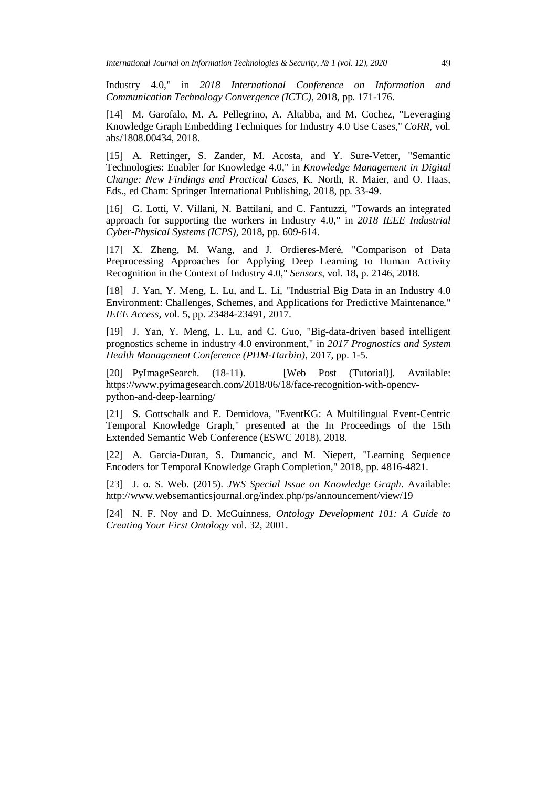Industry 4.0," in *2018 [International](http://www.pyimagesearch.com/2018/06/18/face-recognition-with-opencv-python-and-deep-learning/) Conference on Information and [Communication](http://www.pyimagesearch.com/2018/06/18/face-recognition-with-opencv-python-and-deep-learning/) Technology Convergence (ICTC)*, 2018, pp. 171-176.

[14] M. Garofalo, M. A. Pellegrino, A. Altabba, and M. Cochez, ["Leveraging](http://www.pyimagesearch.com/2018/06/18/face-recognition-with-opencv-python-and-deep-learning/) Knowledge Graph [Embedding](http://www.pyimagesearch.com/2018/06/18/face-recognition-with-opencv-python-and-deep-learning/) Techniques for Industry 4.0 Use Cases," *CoRR,* vol. [abs/1808.00434,](http://www.pyimagesearch.com/2018/06/18/face-recognition-with-opencv-python-and-deep-learning/) 2018.

[15] A. Rettinger, S. Zander, M. Acosta, and Y. [Sure-Vetter,](http://www.pyimagesearch.com/2018/06/18/face-recognition-with-opencv-python-and-deep-learning/) "Semantic [Technologies:](http://www.pyimagesearch.com/2018/06/18/face-recognition-with-opencv-python-and-deep-learning/) Enabler for Knowledge 4.0," in *Knowledge Management in Digital Change: New Findings and [Practical](http://www.pyimagesearch.com/2018/06/18/face-recognition-with-opencv-python-and-deep-learning/) Cases*, K. North, R. Maier, and O. Haas, Eds., ed Cham: Springer [International](http://www.pyimagesearch.com/2018/06/18/face-recognition-with-opencv-python-and-deep-learning/) Publishing, 2018, pp. 33-49.

[16] G. Lotti, V. Villani, N. Battilani, and C. Fantuzzi, "Towards an [integrated](http://www.pyimagesearch.com/2018/06/18/face-recognition-with-opencv-python-and-deep-learning/) approach for [supporting](http://www.pyimagesearch.com/2018/06/18/face-recognition-with-opencv-python-and-deep-learning/) the workers in Industry 4.0," in *2018 IEEE Industrial [Cyber-Physical](http://www.pyimagesearch.com/2018/06/18/face-recognition-with-opencv-python-and-deep-learning/) Systems (ICPS)*, 2018, pp. 609-614.

[17] X. Zheng, M. Wang, and J. [Ordieres-Meré,](http://www.pyimagesearch.com/2018/06/18/face-recognition-with-opencv-python-and-deep-learning/) "Comparison of Data [Preprocessing](http://www.pyimagesearch.com/2018/06/18/face-recognition-with-opencv-python-and-deep-learning/) Approaches for Applying Deep Learning to Human Activity [Recognition](http://www.pyimagesearch.com/2018/06/18/face-recognition-with-opencv-python-and-deep-learning/) in the Context of Industry 4.0," *Sensors,* vol. 18, p. 2146, 2018.

[18] J. Yan, Y. Meng, L. Lu, and L. Li, ["Industrial](http://www.pyimagesearch.com/2018/06/18/face-recognition-with-opencv-python-and-deep-learning/) Big Data in an Industry 4.0 Environment: Challenges, Schemes, and Applications for Predictive [Maintenance,"](http://www.pyimagesearch.com/2018/06/18/face-recognition-with-opencv-python-and-deep-learning/) *IEEE Access,* vol. 5, pp. [23484-23491,](http://www.pyimagesearch.com/2018/06/18/face-recognition-with-opencv-python-and-deep-learning/) 2017.

[19] J. Yan, Y. Meng, L. Lu, and C. Guo, ["Big-data-driven](http://www.pyimagesearch.com/2018/06/18/face-recognition-with-opencv-python-and-deep-learning/) based intelligent prognostics scheme in industry 4.0 [environment,"](http://www.pyimagesearch.com/2018/06/18/face-recognition-with-opencv-python-and-deep-learning/) in *2017 Prognostics and System Health Management Conference [\(PHM-Harbin\)](http://www.pyimagesearch.com/2018/06/18/face-recognition-with-opencv-python-and-deep-learning/)*, 2017, pp. 1-5.

[20] [PyImageSearch.](http://www.pyimagesearch.com/2018/06/18/face-recognition-with-opencv-python-and-deep-learning/) (18-11). *[Web Post (Tutorial)]*. Available: [https://www.pyimagesearch.com/2018/06/18/face-recognition-with-opencv](http://www.pyimagesearch.com/2018/06/18/face-recognition-with-opencv-python-and-deep-learning/)[python-and-deep-learning/](http://www.pyimagesearch.com/2018/06/18/face-recognition-with-opencv-python-and-deep-learning/)

[21] S. Gottschalk and E. Demidova, "EventKG: A Multilingual Event-Centric Temporal Knowledge Graph," presented at the In Proceedings of the 15th Extended Semantic Web Conference (ESWC 2018), 2018.

[22] A. Garcia-Duran, S. Dumancic, and M. Niepert, "Learning Sequence Encoders for Temporal Knowledge Graph Completion," 2018, pp. 4816-4821.

[23] J. o. S. Web. (2015). *JWS Special Issue on Knowledge Graph*. Available: <http://www.websemanticsjournal.org/index.php/ps/announcement/view/19>

[24] N. F. Noy and D. McGuinness, *Ontology Development 101: A Guide to Creating Your First Ontology* vol. 32, 2001.